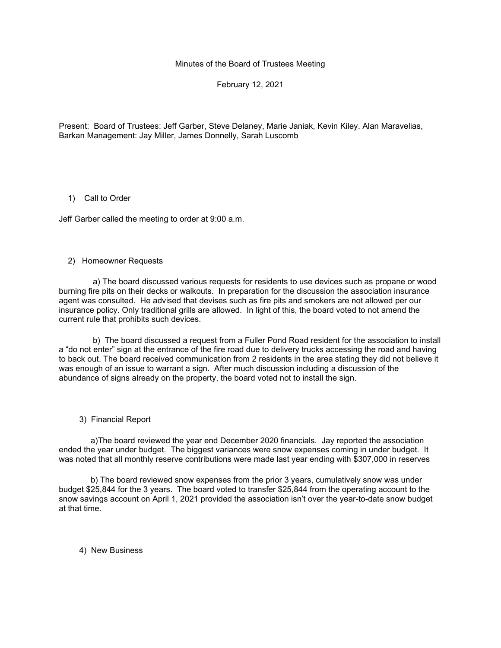Minutes of the Board of Trustees Meeting

February 12, 2021

Present: Board of Trustees: Jeff Garber, Steve Delaney, Marie Janiak, Kevin Kiley. Alan Maravelias, Barkan Management: Jay Miller, James Donnelly, Sarah Luscomb

## 1) Call to Order

Jeff Garber called the meeting to order at 9:00 a.m.

## 2) Homeowner Requests

 a) The board discussed various requests for residents to use devices such as propane or wood burning fire pits on their decks or walkouts. In preparation for the discussion the association insurance agent was consulted. He advised that devises such as fire pits and smokers are not allowed per our insurance policy. Only traditional grills are allowed. In light of this, the board voted to not amend the current rule that prohibits such devices.

 b) The board discussed a request from a Fuller Pond Road resident for the association to install a "do not enter" sign at the entrance of the fire road due to delivery trucks accessing the road and having to back out. The board received communication from 2 residents in the area stating they did not believe it was enough of an issue to warrant a sign. After much discussion including a discussion of the abundance of signs already on the property, the board voted not to install the sign.

## 3) Financial Report

 a)The board reviewed the year end December 2020 financials. Jay reported the association ended the year under budget. The biggest variances were snow expenses coming in under budget. It was noted that all monthly reserve contributions were made last year ending with \$307,000 in reserves

 b) The board reviewed snow expenses from the prior 3 years, cumulatively snow was under budget \$25,844 for the 3 years. The board voted to transfer \$25,844 from the operating account to the snow savings account on April 1, 2021 provided the association isn't over the year-to-date snow budget at that time.

4) New Business